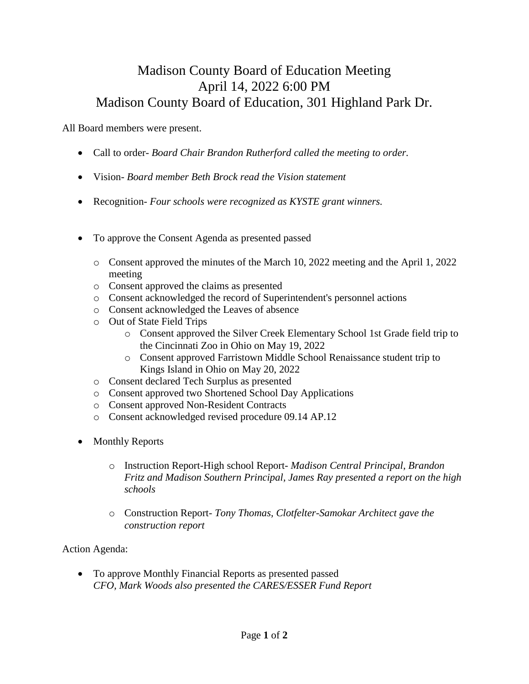## Madison County Board of Education Meeting April 14, 2022 6:00 PM Madison County Board of Education, 301 Highland Park Dr.

All Board members were present.

- Call to order- *Board Chair Brandon Rutherford called the meeting to order.*
- Vision- *Board member Beth Brock read the Vision statement*
- Recognition- *Four schools were recognized as KYSTE grant winners.*
- To approve the Consent Agenda as presented passed
	- o Consent approved the minutes of the March 10, 2022 meeting and the April 1, 2022 meeting
	- o Consent approved the claims as presented
	- o Consent acknowledged the record of Superintendent's personnel actions
	- o Consent acknowledged the Leaves of absence
	- o Out of State Field Trips
		- o Consent approved the Silver Creek Elementary School 1st Grade field trip to the Cincinnati Zoo in Ohio on May 19, 2022
		- o Consent approved Farristown Middle School Renaissance student trip to Kings Island in Ohio on May 20, 2022
	- o Consent declared Tech Surplus as presented
	- o Consent approved two Shortened School Day Applications
	- o Consent approved Non-Resident Contracts
	- o Consent acknowledged revised procedure 09.14 AP.12
- **Monthly Reports** 
	- o Instruction Report-High school Report- *Madison Central Principal, Brandon Fritz and Madison Southern Principal, James Ray presented a report on the high schools*
	- o Construction Report- *Tony Thomas, Clotfelter-Samokar Architect gave the construction report*

Action Agenda:

• To approve Monthly Financial Reports as presented passed *CFO, Mark Woods also presented the CARES/ESSER Fund Report*